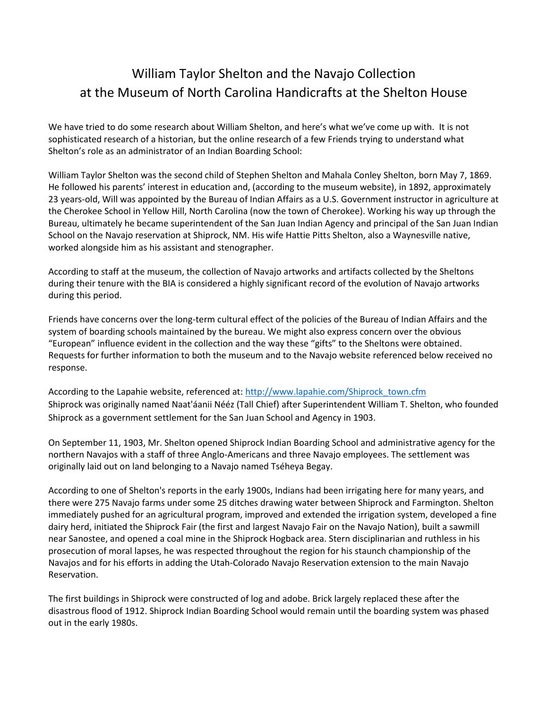# William Taylor Shelton and the Navajo Collection at the Museum of North Carolina Handicrafts at the Shelton House

We have tried to do some research about William Shelton, and here's what we've come up with. It is not sophisticated research of a historian, but the online research of a few Friends trying to understand what Shelton's role as an administrator of an Indian Boarding School:

William Taylor Shelton was the second child of Stephen Shelton and Mahala Conley Shelton, born May 7, 1869. He followed his parents' interest in education and, (according to the museum website), in 1892, approximately 23 years-old, Will was appointed by the Bureau of Indian Affairs as a U.S. Government instructor in agriculture at the Cherokee School in Yellow Hill, North Carolina (now the town of Cherokee). Working his way up through the Bureau, ultimately he became superintendent of the San Juan Indian Agency and principal of the San Juan Indian School on the Navajo reservation at Shiprock, NM. His wife Hattie Pitts Shelton, also a Waynesville native, worked alongside him as his assistant and stenographer.

According to staff at the museum, the collection of Navajo artworks and artifacts collected by the Sheltons during their tenure with the BIA is considered a highly significant record of the evolution of Navajo artworks during this period.

Friends have concerns over the long-term cultural effect of the policies of the Bureau of Indian Affairs and the system of boarding schools maintained by the bureau. We might also express concern over the obvious "European" influence evident in the collection and the way these "gifts" to the Sheltons were obtained. Requests for further information to both the museum and to the Navajo website referenced below received no response.

According to the Lapahie website, referenced at: [http://www.lapahie.com/Shiprock\\_town.cfm](http://www.lapahie.com/Shiprock_town.cfm) Shiprock was originally named Naat'áanii Nééz (Tall Chief) after Superintendent William T. Shelton, who founded Shiprock as a government settlement for the San Juan School and Agency in 1903.

On September 11, 1903, Mr. Shelton opened Shiprock Indian Boarding School and administrative agency for the northern Navajos with a staff of three Anglo-Americans and three Navajo employees. The settlement was originally laid out on land belonging to a Navajo named Tséheya Begay.

According to one of Shelton's reports in the early 1900s, Indians had been irrigating here for many years, and there were 275 Navajo farms under some 25 ditches drawing water between Shiprock and Farmington. Shelton immediately pushed for an agricultural program, improved and extended the irrigation system, developed a fine dairy herd, initiated the Shiprock Fair (the first and largest Navajo Fair on the Navajo Nation), built a sawmill near Sanostee, and opened a coal mine in the Shiprock Hogback area. Stern disciplinarian and ruthless in his prosecution of moral lapses, he was respected throughout the region for his staunch championship of the Navajos and for his efforts in adding the Utah-Colorado Navajo Reservation extension to the main Navajo Reservation.

The first buildings in Shiprock were constructed of log and adobe. Brick largely replaced these after the disastrous flood of 1912. Shiprock Indian Boarding School would remain until the boarding system was phased out in the early 1980s.